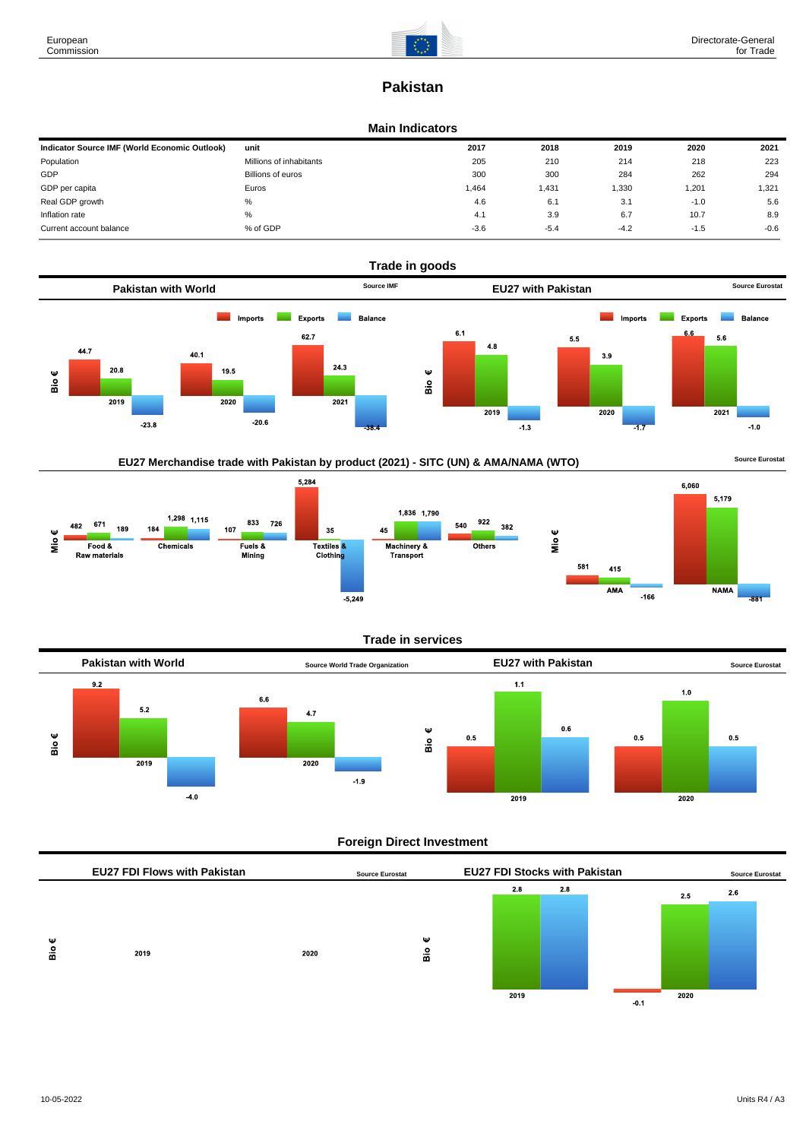

# **Pakistan**

#### **Main Indicators**

| Indicator Source IMF (World Economic Outlook) | unit                    | 2017   | 2018   | 2019   | 2020   | 2021   |
|-----------------------------------------------|-------------------------|--------|--------|--------|--------|--------|
| Population                                    | Millions of inhabitants | 205    | 210    | 214    | 218    | 223    |
| GDP                                           | Billions of euros       | 300    | 300    | 284    | 262    | 294    |
| GDP per capita                                | Euros                   | 1,464  | 1.431  | 1,330  | 1,201  | .321   |
| Real GDP growth                               | %                       | 4.6    | 6.1    | 3.1    | $-1.0$ | 5.6    |
| Inflation rate                                | %                       | 4.1    | 3.9    | 6.7    | 10.7   | 8.9    |
| Current account balance                       | % of GDP                | $-3.6$ | $-5.4$ | $-4.2$ | $-1.5$ | $-0.6$ |



# EU27 Merchandise trade with Pakistan by product (2021) - SITC (UN) & AMA/NAMA (WTO) **Source Eurostat**



#### **Trade in services**



# **Foreign Direct Investment**

|        | <b>EU27 FDI Flows with Pakistan</b> |      | <b>Source Eurostat</b> | <b>EU27 FDI Stocks with Pakistan</b> |     |        |      | <b>Source Eurostat</b> |  |
|--------|-------------------------------------|------|------------------------|--------------------------------------|-----|--------|------|------------------------|--|
|        |                                     |      |                        | 2.8                                  | 2.8 |        | 2.5  | 2.6                    |  |
|        |                                     |      |                        |                                      |     |        |      |                        |  |
| Ψ<br>å | 2019                                | 2020 | Ψ<br>နှ                |                                      |     |        |      |                        |  |
|        |                                     |      |                        | 2019                                 |     |        | 2020 |                        |  |
|        |                                     |      |                        |                                      |     | $-0.1$ |      |                        |  |